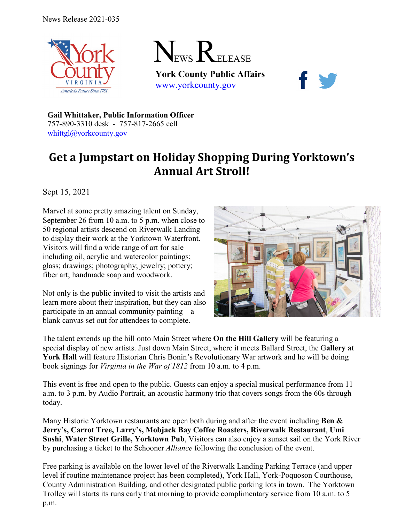



**York County Public Affairs** [www.yorkcounty.gov](http://www.yorkcounty.gov/)



**Gail Whittaker, Public Information Officer** 757-890-3310 desk - 757-817-2665 cell [whittgl@yorkcounty.gov](mailto:whittgl@yorkcounty.gov)

## **Get a Jumpstart on Holiday Shopping During Yorktown's Annual Art Stroll!**

Sept 15, 2021

Marvel at some pretty amazing talent on Sunday, September 26 from 10 a.m. to 5 p.m. when close to 50 regional artists descend on Riverwalk Landing to display their work at the Yorktown Waterfront. Visitors will find a wide range of art for sale including oil, acrylic and watercolor paintings; glass; drawings; photography; jewelry; pottery; fiber art; handmade soap and woodwork.

Not only is the public invited to visit the artists and learn more about their inspiration, but they can also participate in an annual community painting—a blank canvas set out for attendees to complete.



The talent extends up the hill onto Main Street where **On the Hill Gallery** will be featuring a special display of new artists. Just down Main Street, where it meets Ballard Street, the G**allery at**  York Hall will feature Historian Chris Bonin's Revolutionary War artwork and he will be doing book signings for *Virginia in the War of 1812* from 10 a.m. to 4 p.m.

This event is free and open to the public. Guests can enjoy a special musical performance from 11 a.m. to 3 p.m. by Audio Portrait, an acoustic harmony trio that covers songs from the 60s through today.

Many Historic Yorktown restaurants are open both during and after the event including **Ben & Jerry's, Carrot Tree, Larry's, Mobjack Bay Coffee Roasters, Riverwalk Restaurant**, **Umi Sushi**, **Water Street Grille, Yorktown Pub**, Visitors can also enjoy a sunset sail on the York River by purchasing a ticket to the Schooner *Alliance* following the conclusion of the event.

Free parking is available on the lower level of the Riverwalk Landing Parking Terrace (and upper level if routine maintenance project has been completed), York Hall, York-Poquoson Courthouse, County Administration Building, and other designated public parking lots in town. The Yorktown Trolley will starts its runs early that morning to provide complimentary service from 10 a.m. to 5 p.m.